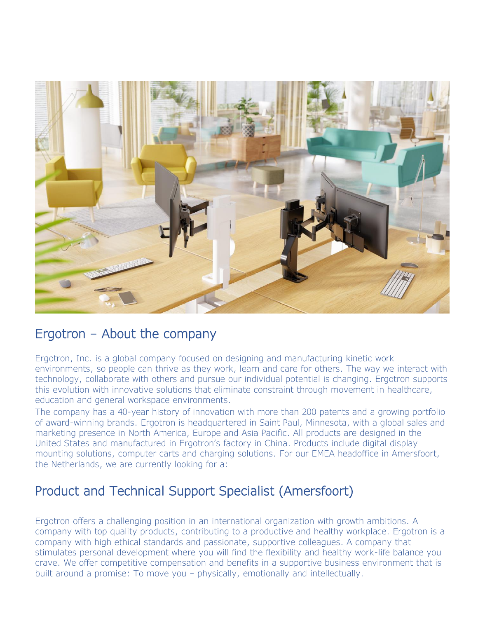

#### Ergotron – About the company

Ergotron, Inc. is a global company focused on designing and manufacturing kinetic work environments, so people can thrive as they work, learn and care for others. The way we interact with technology, collaborate with others and pursue our individual potential is changing. Ergotron supports this evolution with innovative solutions that eliminate constraint through movement in healthcare, education and general workspace environments.

The company has a 40-year history of innovation with more than 200 patents and a growing portfolio of award-winning brands. Ergotron is headquartered in Saint Paul, Minnesota, with a global sales and marketing presence in North America, Europe and Asia Pacific. All products are designed in the United States and manufactured in Ergotron's factory in China. Products include digital display mounting solutions, computer carts and charging solutions. For our EMEA headoffice in Amersfoort, the Netherlands, we are currently looking for a:

## Product and Technical Support Specialist (Amersfoort)

Ergotron offers a challenging position in an international organization with growth ambitions. A company with top quality products, contributing to a productive and healthy workplace. Ergotron is a company with high ethical standards and passionate, supportive colleagues. A company that stimulates personal development where you will find the flexibility and healthy work-life balance you crave. We offer competitive compensation and benefits in a supportive business environment that is built around a promise: To move you – physically, emotionally and intellectually.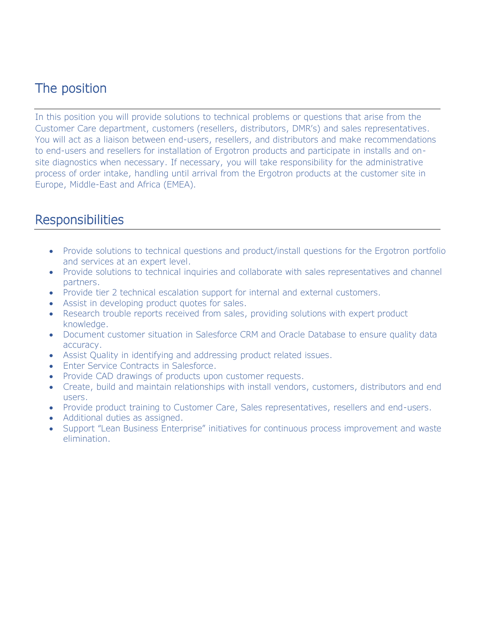# The position

In this position you will provide solutions to technical problems or questions that arise from the Customer Care department, customers (resellers, distributors, DMR's) and sales representatives. You will act as a liaison between end-users, resellers, and distributors and make recommendations to end-users and resellers for installation of Ergotron products and participate in installs and onsite diagnostics when necessary. If necessary, you will take responsibility for the administrative process of order intake, handling until arrival from the Ergotron products at the customer site in Europe, Middle-East and Africa (EMEA).

### **Responsibilities**

- Provide solutions to technical questions and product/install questions for the Ergotron portfolio and services at an expert level.
- Provide solutions to technical inquiries and collaborate with sales representatives and channel partners.
- Provide tier 2 technical escalation support for internal and external customers.
- Assist in developing product quotes for sales.
- Research trouble reports received from sales, providing solutions with expert product knowledge.
- Document customer situation in Salesforce CRM and Oracle Database to ensure quality data accuracy.
- Assist Quality in identifying and addressing product related issues.
- Enter Service Contracts in Salesforce.
- Provide CAD drawings of products upon customer requests.
- Create, build and maintain relationships with install vendors, customers, distributors and end users.
- Provide product training to Customer Care, Sales representatives, resellers and end-users.
- Additional duties as assigned.
- Support "Lean Business Enterprise" initiatives for continuous process improvement and waste elimination.